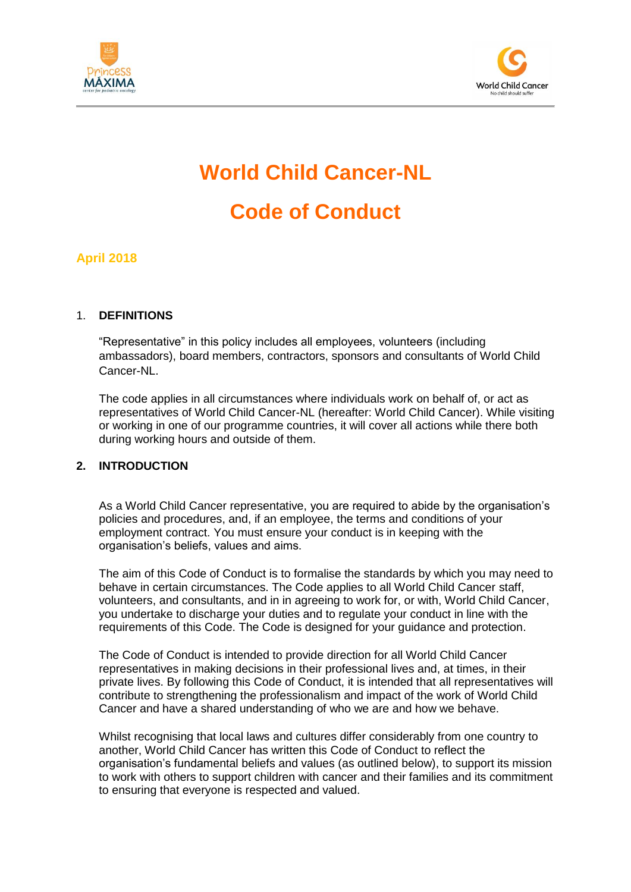



# **World Child Cancer-NL Code of Conduct**

## **April 2018**

#### 1. **DEFINITIONS**

"Representative" in this policy includes all employees, volunteers (including ambassadors), board members, contractors, sponsors and consultants of World Child Cancer-NL.

The code applies in all circumstances where individuals work on behalf of, or act as representatives of World Child Cancer-NL (hereafter: World Child Cancer). While visiting or working in one of our programme countries, it will cover all actions while there both during working hours and outside of them.

#### **2. INTRODUCTION**

As a World Child Cancer representative, you are required to abide by the organisation's policies and procedures, and, if an employee, the terms and conditions of your employment contract. You must ensure your conduct is in keeping with the organisation's beliefs, values and aims.

The aim of this Code of Conduct is to formalise the standards by which you may need to behave in certain circumstances. The Code applies to all World Child Cancer staff, volunteers, and consultants, and in in agreeing to work for, or with, World Child Cancer, you undertake to discharge your duties and to regulate your conduct in line with the requirements of this Code. The Code is designed for your guidance and protection.

The Code of Conduct is intended to provide direction for all World Child Cancer representatives in making decisions in their professional lives and, at times, in their private lives. By following this Code of Conduct, it is intended that all representatives will contribute to strengthening the professionalism and impact of the work of World Child Cancer and have a shared understanding of who we are and how we behave.

Whilst recognising that local laws and cultures differ considerably from one country to another, World Child Cancer has written this Code of Conduct to reflect the organisation's fundamental beliefs and values (as outlined below), to support its mission to work with others to support children with cancer and their families and its commitment to ensuring that everyone is respected and valued.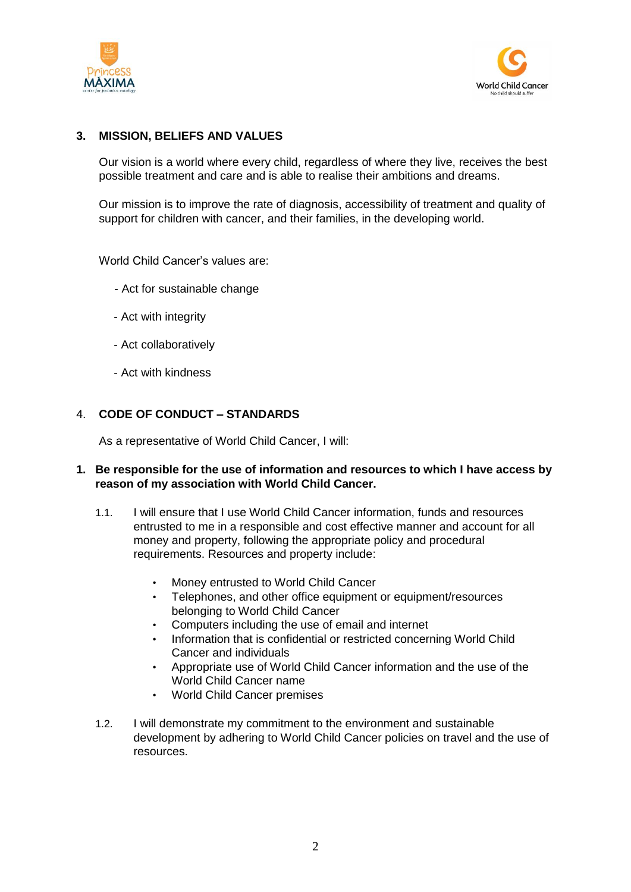



#### **3. MISSION, BELIEFS AND VALUES**

Our vision is a world where every child, regardless of where they live, receives the best possible treatment and care and is able to realise their ambitions and dreams.

Our mission is to improve the rate of diagnosis, accessibility of treatment and quality of support for children with cancer, and their families, in the developing world.

World Child Cancer's values are:

- Act for sustainable change
- Act with integrity
- Act collaboratively
- Act with kindness

#### 4. **CODE OF CONDUCT – STANDARDS**

As a representative of World Child Cancer, I will:

#### **1. Be responsible for the use of information and resources to which I have access by reason of my association with World Child Cancer.**

- 1.1. I will ensure that I use World Child Cancer information, funds and resources entrusted to me in a responsible and cost effective manner and account for all money and property, following the appropriate policy and procedural requirements. Resources and property include:
	- Money entrusted to World Child Cancer
	- Telephones, and other office equipment or equipment/resources belonging to World Child Cancer
	- Computers including the use of email and internet
	- Information that is confidential or restricted concerning World Child Cancer and individuals
	- Appropriate use of World Child Cancer information and the use of the World Child Cancer name
	- World Child Cancer premises
- 1.2. I will demonstrate my commitment to the environment and sustainable development by adhering to World Child Cancer policies on travel and the use of resources.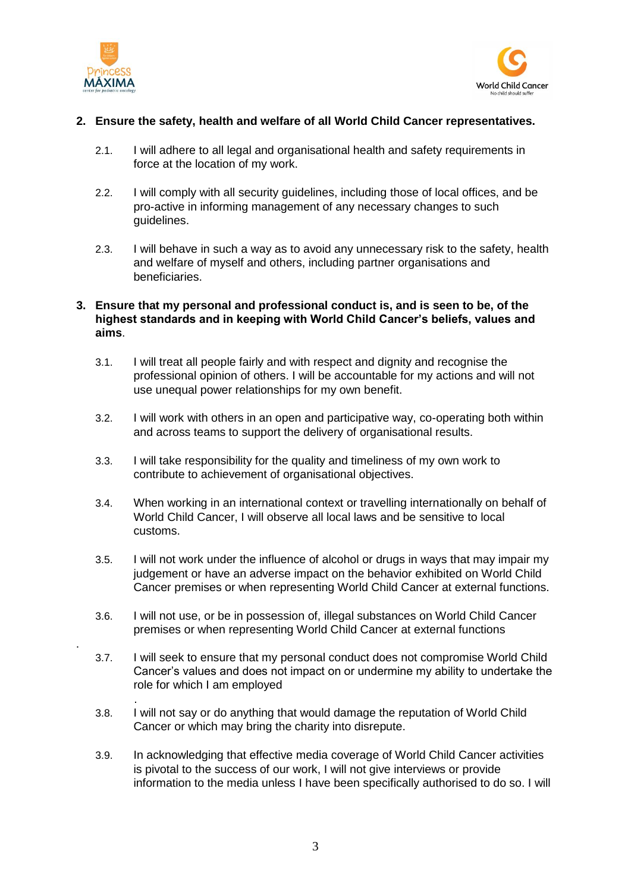

.

.



#### **2. Ensure the safety, health and welfare of all World Child Cancer representatives.**

- 2.1. I will adhere to all legal and organisational health and safety requirements in force at the location of my work.
- 2.2. I will comply with all security guidelines, including those of local offices, and be pro-active in informing management of any necessary changes to such guidelines.
- 2.3. I will behave in such a way as to avoid any unnecessary risk to the safety, health and welfare of myself and others, including partner organisations and beneficiaries.

#### **3. Ensure that my personal and professional conduct is, and is seen to be, of the highest standards and in keeping with World Child Cancer's beliefs, values and aims**.

- 3.1. I will treat all people fairly and with respect and dignity and recognise the professional opinion of others. I will be accountable for my actions and will not use unequal power relationships for my own benefit.
- 3.2. I will work with others in an open and participative way, co-operating both within and across teams to support the delivery of organisational results.
- 3.3. I will take responsibility for the quality and timeliness of my own work to contribute to achievement of organisational objectives.
- 3.4. When working in an international context or travelling internationally on behalf of World Child Cancer, I will observe all local laws and be sensitive to local customs.
- 3.5. I will not work under the influence of alcohol or drugs in ways that may impair my judgement or have an adverse impact on the behavior exhibited on World Child Cancer premises or when representing World Child Cancer at external functions.
- 3.6. I will not use, or be in possession of, illegal substances on World Child Cancer premises or when representing World Child Cancer at external functions
- 3.7. I will seek to ensure that my personal conduct does not compromise World Child Cancer's values and does not impact on or undermine my ability to undertake the role for which I am employed
- 3.8. I will not say or do anything that would damage the reputation of World Child Cancer or which may bring the charity into disrepute.
- 3.9. In acknowledging that effective media coverage of World Child Cancer activities is pivotal to the success of our work, I will not give interviews or provide information to the media unless I have been specifically authorised to do so. I will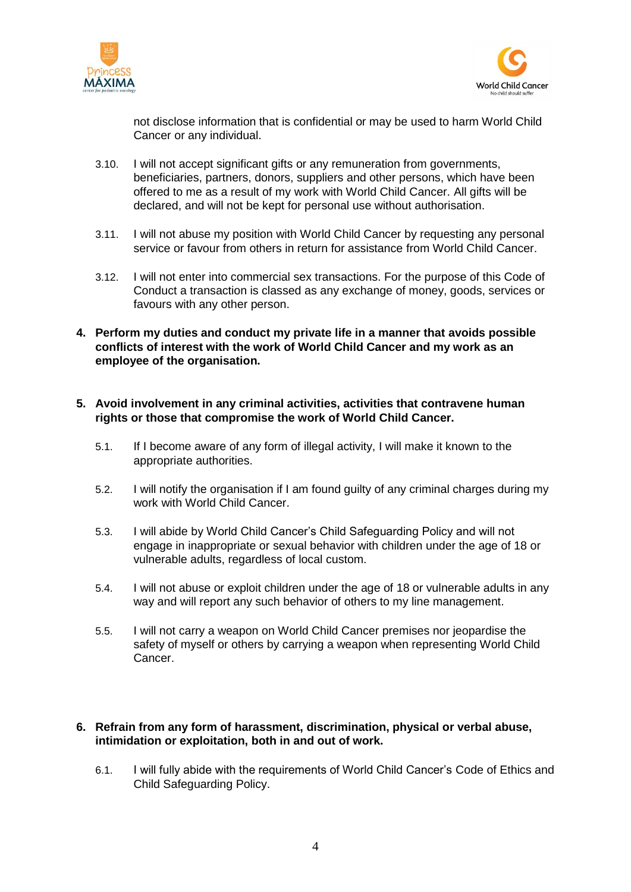



not disclose information that is confidential or may be used to harm World Child Cancer or any individual.

- 3.10. I will not accept significant gifts or any remuneration from governments, beneficiaries, partners, donors, suppliers and other persons, which have been offered to me as a result of my work with World Child Cancer. All gifts will be declared, and will not be kept for personal use without authorisation.
- 3.11. I will not abuse my position with World Child Cancer by requesting any personal service or favour from others in return for assistance from World Child Cancer.
- 3.12. I will not enter into commercial sex transactions. For the purpose of this Code of Conduct a transaction is classed as any exchange of money, goods, services or favours with any other person.
- **4. Perform my duties and conduct my private life in a manner that avoids possible conflicts of interest with the work of World Child Cancer and my work as an employee of the organisation.**
- **5. Avoid involvement in any criminal activities, activities that contravene human rights or those that compromise the work of World Child Cancer.** 
	- 5.1. If I become aware of any form of illegal activity, I will make it known to the appropriate authorities.
	- 5.2. I will notify the organisation if I am found guilty of any criminal charges during my work with World Child Cancer.
	- 5.3. I will abide by World Child Cancer's Child Safeguarding Policy and will not engage in inappropriate or sexual behavior with children under the age of 18 or vulnerable adults, regardless of local custom.
	- 5.4. I will not abuse or exploit children under the age of 18 or vulnerable adults in any way and will report any such behavior of others to my line management.
	- 5.5. I will not carry a weapon on World Child Cancer premises nor jeopardise the safety of myself or others by carrying a weapon when representing World Child Cancer.

#### **6. Refrain from any form of harassment, discrimination, physical or verbal abuse, intimidation or exploitation, both in and out of work.**

6.1. I will fully abide with the requirements of World Child Cancer's Code of Ethics and Child Safeguarding Policy.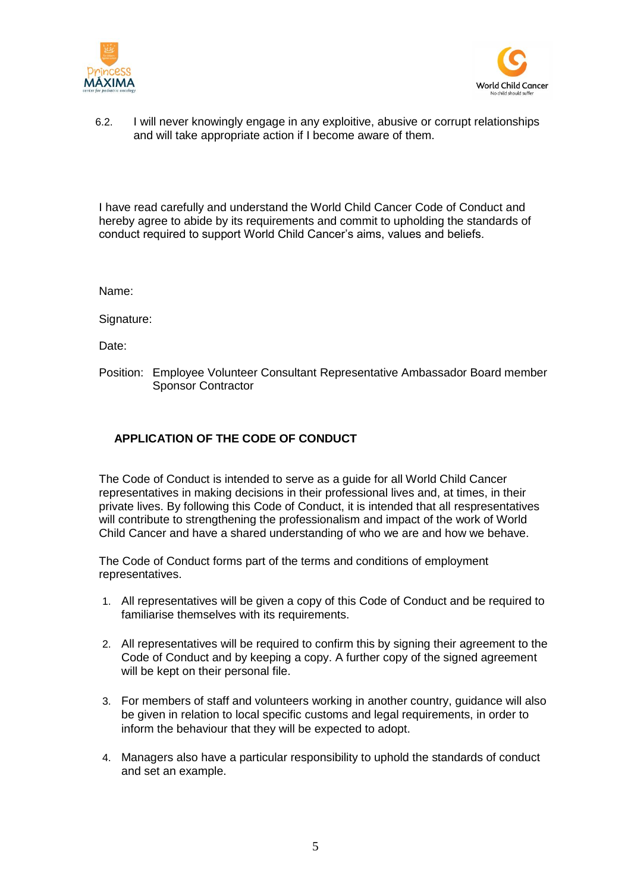



6.2. I will never knowingly engage in any exploitive, abusive or corrupt relationships and will take appropriate action if I become aware of them.

I have read carefully and understand the World Child Cancer Code of Conduct and hereby agree to abide by its requirements and commit to upholding the standards of conduct required to support World Child Cancer's aims, values and beliefs.

Name:

Signature:

Date:

Position: Employee Volunteer Consultant Representative Ambassador Board member Sponsor Contractor

## **APPLICATION OF THE CODE OF CONDUCT**

The Code of Conduct is intended to serve as a guide for all World Child Cancer representatives in making decisions in their professional lives and, at times, in their private lives. By following this Code of Conduct, it is intended that all respresentatives will contribute to strengthening the professionalism and impact of the work of World Child Cancer and have a shared understanding of who we are and how we behave.

The Code of Conduct forms part of the terms and conditions of employment representatives.

- 1. All representatives will be given a copy of this Code of Conduct and be required to familiarise themselves with its requirements.
- 2. All representatives will be required to confirm this by signing their agreement to the Code of Conduct and by keeping a copy. A further copy of the signed agreement will be kept on their personal file.
- 3. For members of staff and volunteers working in another country, guidance will also be given in relation to local specific customs and legal requirements, in order to inform the behaviour that they will be expected to adopt.
- 4. Managers also have a particular responsibility to uphold the standards of conduct and set an example.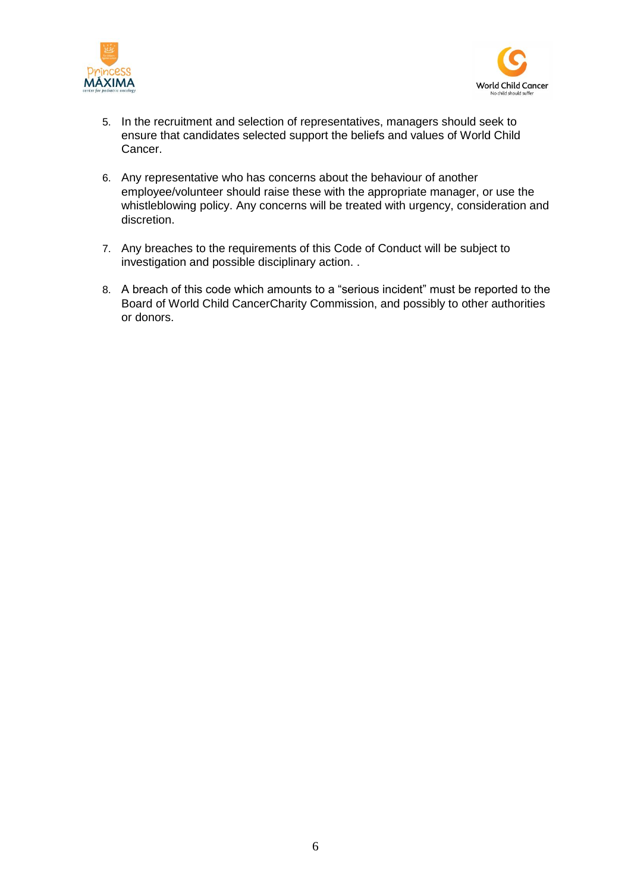



- 5. In the recruitment and selection of representatives, managers should seek to ensure that candidates selected support the beliefs and values of World Child Cancer.
- 6. Any representative who has concerns about the behaviour of another employee/volunteer should raise these with the appropriate manager, or use the whistleblowing policy. Any concerns will be treated with urgency, consideration and discretion.
- 7. Any breaches to the requirements of this Code of Conduct will be subject to investigation and possible disciplinary action. .
- 8. A breach of this code which amounts to a "serious incident" must be reported to the Board of World Child CancerCharity Commission, and possibly to other authorities or donors.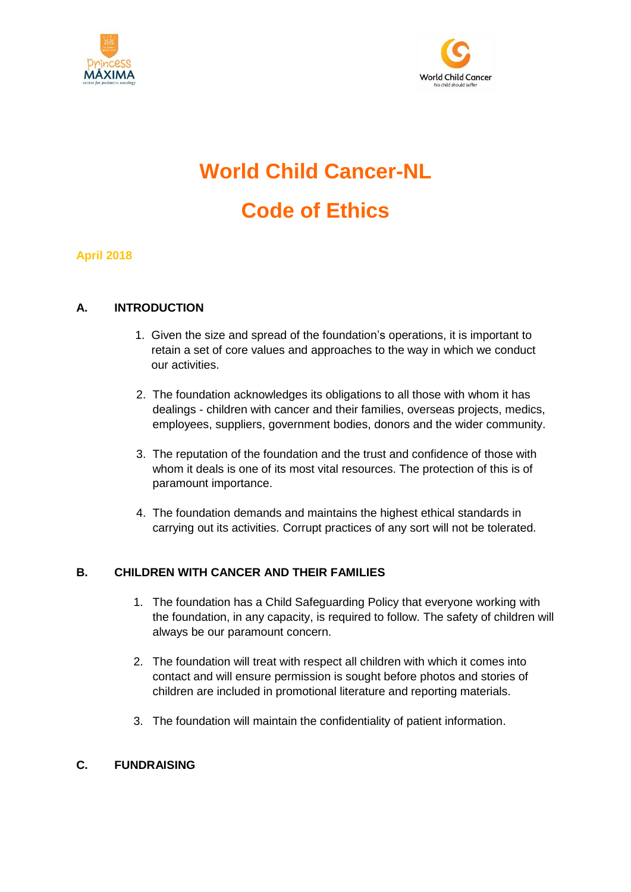



# **World Child Cancer-NL Code of Ethics**

**April 2018**

#### **A. INTRODUCTION**

- 1. Given the size and spread of the foundation's operations, it is important to retain a set of core values and approaches to the way in which we conduct our activities.
- 2. The foundation acknowledges its obligations to all those with whom it has dealings - children with cancer and their families, overseas projects, medics, employees, suppliers, government bodies, donors and the wider community.
- 3. The reputation of the foundation and the trust and confidence of those with whom it deals is one of its most vital resources. The protection of this is of paramount importance.
- 4. The foundation demands and maintains the highest ethical standards in carrying out its activities. Corrupt practices of any sort will not be tolerated.

## **B. CHILDREN WITH CANCER AND THEIR FAMILIES**

- 1. The foundation has a Child Safeguarding Policy that everyone working with the foundation, in any capacity, is required to follow. The safety of children will always be our paramount concern.
- 2. The foundation will treat with respect all children with which it comes into contact and will ensure permission is sought before photos and stories of children are included in promotional literature and reporting materials.
- 3. The foundation will maintain the confidentiality of patient information.

## **C. FUNDRAISING**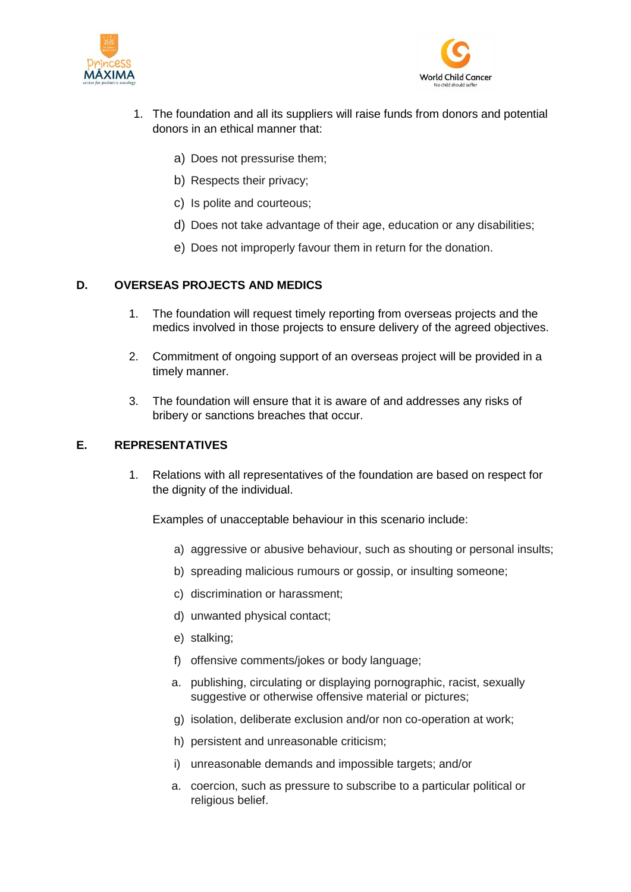



- 1. The foundation and all its suppliers will raise funds from donors and potential donors in an ethical manner that:
	- a) Does not pressurise them;
	- b) Respects their privacy;
	- c) Is polite and courteous;
	- d) Does not take advantage of their age, education or any disabilities;
	- e) Does not improperly favour them in return for the donation.

#### **D. OVERSEAS PROJECTS AND MEDICS**

- 1. The foundation will request timely reporting from overseas projects and the medics involved in those projects to ensure delivery of the agreed objectives.
- 2. Commitment of ongoing support of an overseas project will be provided in a timely manner.
- 3. The foundation will ensure that it is aware of and addresses any risks of bribery or sanctions breaches that occur.

#### **E. REPRESENTATIVES**

1. Relations with all representatives of the foundation are based on respect for the dignity of the individual.

Examples of unacceptable behaviour in this scenario include:

- a) aggressive or abusive behaviour, such as shouting or personal insults;
- b) spreading malicious rumours or gossip, or insulting someone;
- c) discrimination or harassment;
- d) unwanted physical contact;
- e) stalking;
- f) offensive comments/jokes or body language;
- a. publishing, circulating or displaying pornographic, racist, sexually suggestive or otherwise offensive material or pictures;
- g) isolation, deliberate exclusion and/or non co-operation at work;
- h) persistent and unreasonable criticism;
- i) unreasonable demands and impossible targets; and/or
- a. coercion, such as pressure to subscribe to a particular political or religious belief.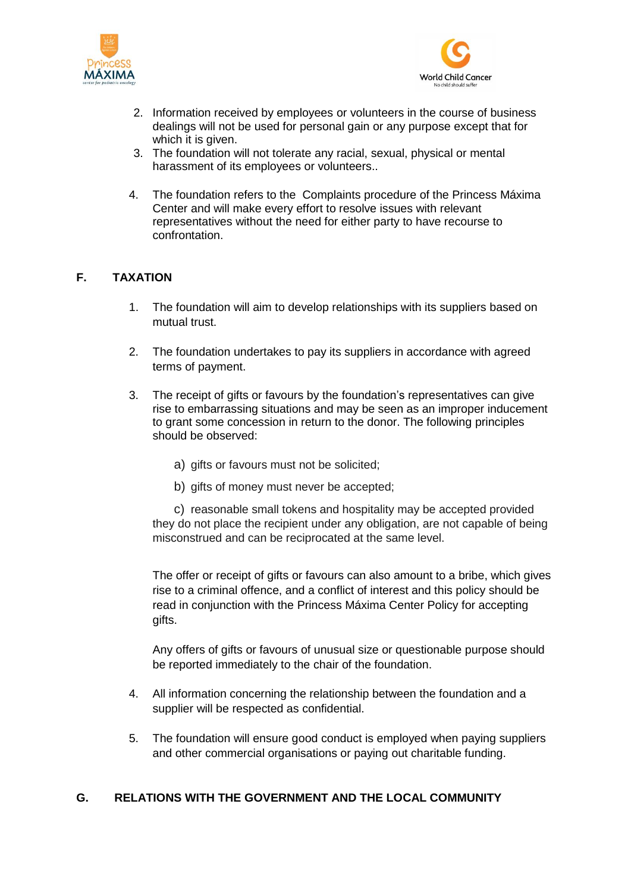



- 2. Information received by employees or volunteers in the course of business dealings will not be used for personal gain or any purpose except that for which it is given.
- 3. The foundation will not tolerate any racial, sexual, physical or mental harassment of its employees or volunteers..
- 4. The foundation refers to the Complaints procedure of the Princess Máxima Center and will make every effort to resolve issues with relevant representatives without the need for either party to have recourse to confrontation.

## **F. TAXATION**

- 1. The foundation will aim to develop relationships with its suppliers based on mutual trust.
- 2. The foundation undertakes to pay its suppliers in accordance with agreed terms of payment.
- 3. The receipt of gifts or favours by the foundation's representatives can give rise to embarrassing situations and may be seen as an improper inducement to grant some concession in return to the donor. The following principles should be observed:
	- a) gifts or favours must not be solicited;
	- b) gifts of money must never be accepted:

c) reasonable small tokens and hospitality may be accepted provided they do not place the recipient under any obligation, are not capable of being misconstrued and can be reciprocated at the same level.

The offer or receipt of gifts or favours can also amount to a bribe, which gives rise to a criminal offence, and a conflict of interest and this policy should be read in conjunction with the Princess Máxima Center Policy for accepting gifts.

Any offers of gifts or favours of unusual size or questionable purpose should be reported immediately to the chair of the foundation.

- 4. All information concerning the relationship between the foundation and a supplier will be respected as confidential.
- 5. The foundation will ensure good conduct is employed when paying suppliers and other commercial organisations or paying out charitable funding.

#### **G. RELATIONS WITH THE GOVERNMENT AND THE LOCAL COMMUNITY**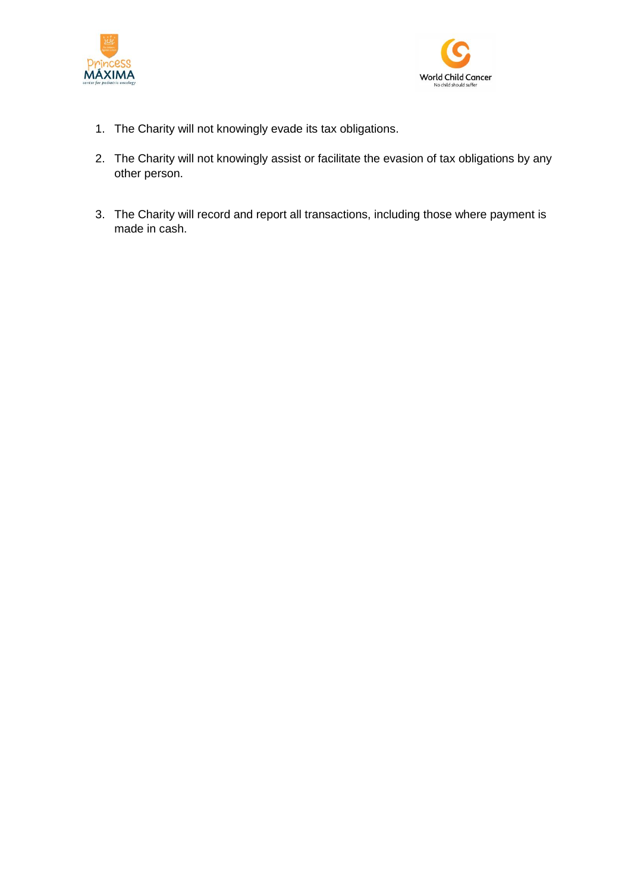



- 1. The Charity will not knowingly evade its tax obligations.
- 2. The Charity will not knowingly assist or facilitate the evasion of tax obligations by any other person.
- 3. The Charity will record and report all transactions, including those where payment is made in cash.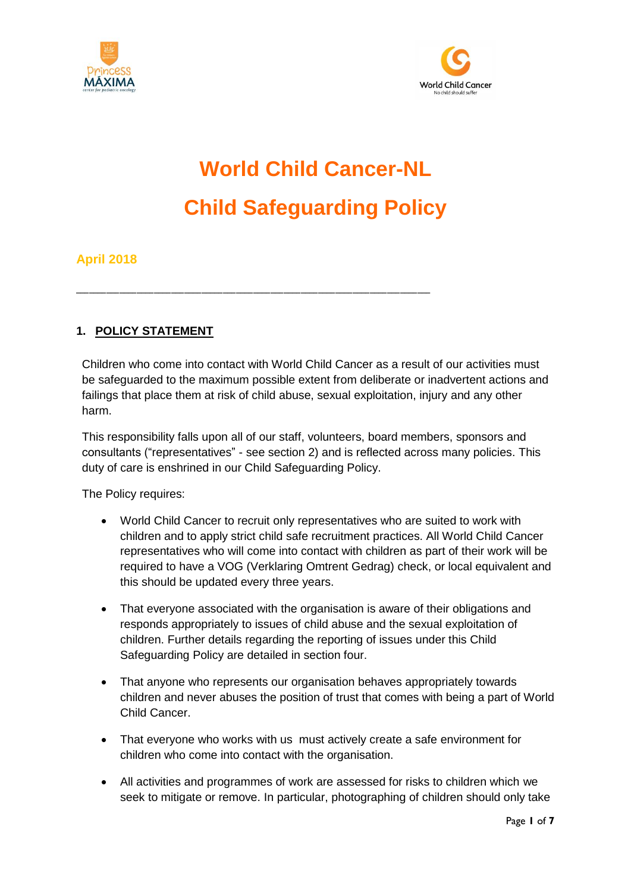



# **World Child Cancer-NL Child Safeguarding Policy**

## **April 2018**

## **1. POLICY STATEMENT**

Children who come into contact with World Child Cancer as a result of our activities must be safeguarded to the maximum possible extent from deliberate or inadvertent actions and failings that place them at risk of child abuse, sexual exploitation, injury and any other harm.

\_\_\_\_\_\_\_\_\_\_\_\_\_\_\_\_\_\_\_\_\_\_\_\_\_\_\_\_\_\_\_\_\_\_\_\_\_\_\_\_\_\_\_\_\_\_\_\_\_\_\_\_\_\_\_\_\_\_\_\_\_\_\_\_\_\_\_\_\_\_\_\_\_\_\_\_\_\_\_\_\_\_

This responsibility falls upon all of our staff, volunteers, board members, sponsors and consultants ("representatives" - see section 2) and is reflected across many policies. This duty of care is enshrined in our Child Safeguarding Policy.

The Policy requires:

- World Child Cancer to recruit only representatives who are suited to work with children and to apply strict child safe recruitment practices. All World Child Cancer representatives who will come into contact with children as part of their work will be required to have a VOG (Verklaring Omtrent Gedrag) check, or local equivalent and this should be updated every three years.
- That everyone associated with the organisation is aware of their obligations and responds appropriately to issues of child abuse and the sexual exploitation of children. Further details regarding the reporting of issues under this Child Safeguarding Policy are detailed in section four.
- That anyone who represents our organisation behaves appropriately towards children and never abuses the position of trust that comes with being a part of World Child Cancer.
- That everyone who works with us must actively create a safe environment for children who come into contact with the organisation.
- All activities and programmes of work are assessed for risks to children which we seek to mitigate or remove. In particular, photographing of children should only take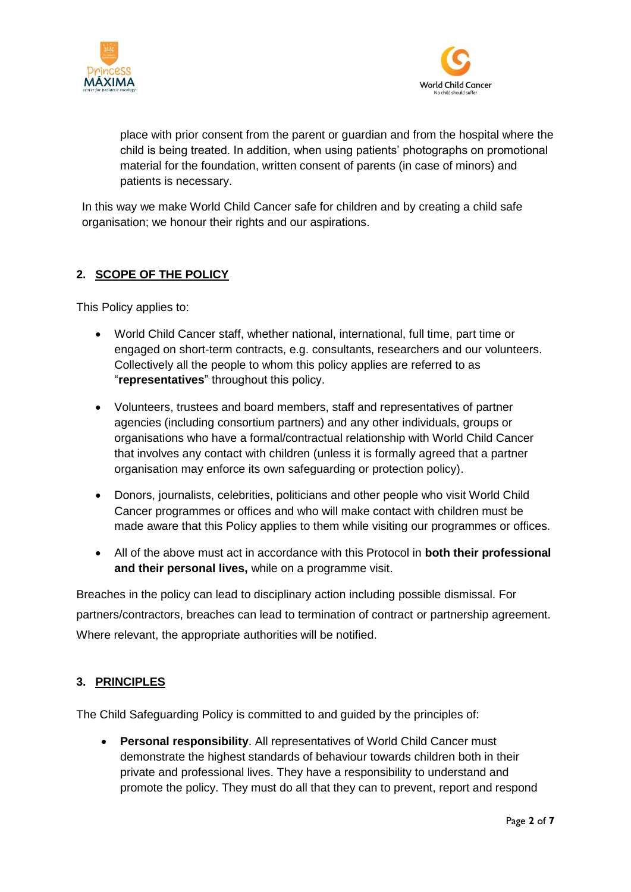



place with prior consent from the parent or guardian and from the hospital where the child is being treated. In addition, when using patients' photographs on promotional material for the foundation, written consent of parents (in case of minors) and patients is necessary.

In this way we make World Child Cancer safe for children and by creating a child safe organisation; we honour their rights and our aspirations.

## **2. SCOPE OF THE POLICY**

This Policy applies to:

- World Child Cancer staff, whether national, international, full time, part time or engaged on short-term contracts, e.g. consultants, researchers and our volunteers. Collectively all the people to whom this policy applies are referred to as "**representatives**" throughout this policy.
- Volunteers, trustees and board members, staff and representatives of partner agencies (including consortium partners) and any other individuals, groups or organisations who have a formal/contractual relationship with World Child Cancer that involves any contact with children (unless it is formally agreed that a partner organisation may enforce its own safeguarding or protection policy).
- Donors, journalists, celebrities, politicians and other people who visit World Child Cancer programmes or offices and who will make contact with children must be made aware that this Policy applies to them while visiting our programmes or offices.
- All of the above must act in accordance with this Protocol in **both their professional and their personal lives,** while on a programme visit.

Breaches in the policy can lead to disciplinary action including possible dismissal. For partners/contractors, breaches can lead to termination of contract or partnership agreement. Where relevant, the appropriate authorities will be notified.

## **3. PRINCIPLES**

The Child Safeguarding Policy is committed to and guided by the principles of:

 **Personal responsibility**. All representatives of World Child Cancer must demonstrate the highest standards of behaviour towards children both in their private and professional lives. They have a responsibility to understand and promote the policy. They must do all that they can to prevent, report and respond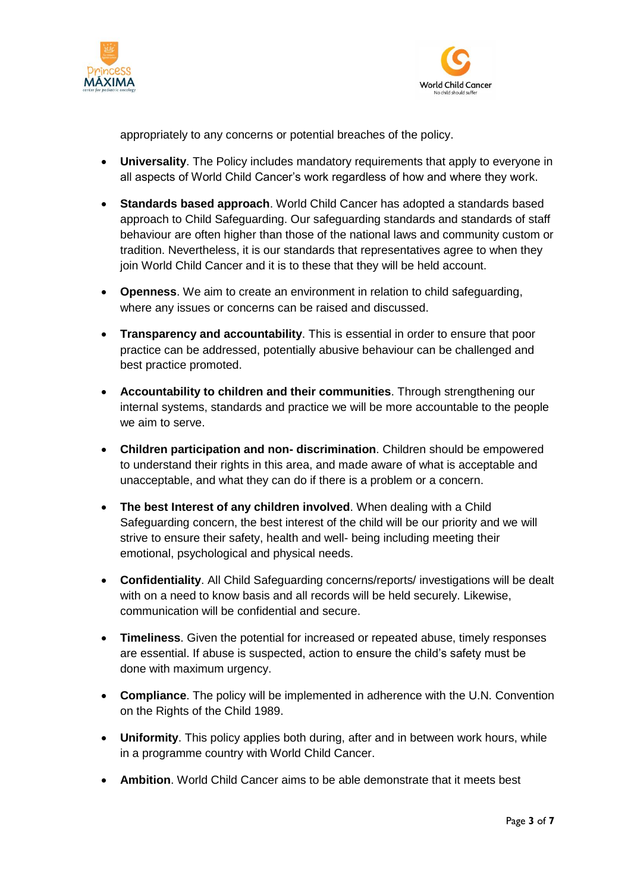



appropriately to any concerns or potential breaches of the policy.

- **Universality**. The Policy includes mandatory requirements that apply to everyone in all aspects of World Child Cancer's work regardless of how and where they work.
- **Standards based approach**. World Child Cancer has adopted a standards based approach to Child Safeguarding. Our safeguarding standards and standards of staff behaviour are often higher than those of the national laws and community custom or tradition. Nevertheless, it is our standards that representatives agree to when they join World Child Cancer and it is to these that they will be held account.
- **Openness**. We aim to create an environment in relation to child safeguarding, where any issues or concerns can be raised and discussed.
- **Transparency and accountability**. This is essential in order to ensure that poor practice can be addressed, potentially abusive behaviour can be challenged and best practice promoted.
- **Accountability to children and their communities**. Through strengthening our internal systems, standards and practice we will be more accountable to the people we aim to serve.
- **Children participation and non- discrimination**. Children should be empowered to understand their rights in this area, and made aware of what is acceptable and unacceptable, and what they can do if there is a problem or a concern.
- **The best Interest of any children involved**. When dealing with a Child Safeguarding concern, the best interest of the child will be our priority and we will strive to ensure their safety, health and well- being including meeting their emotional, psychological and physical needs.
- **Confidentiality**. All Child Safeguarding concerns/reports/ investigations will be dealt with on a need to know basis and all records will be held securely. Likewise, communication will be confidential and secure.
- **Timeliness**. Given the potential for increased or repeated abuse, timely responses are essential. If abuse is suspected, action to ensure the child's safety must be done with maximum urgency.
- **Compliance**. The policy will be implemented in adherence with the U.N. Convention on the Rights of the Child 1989.
- **Uniformity**. This policy applies both during, after and in between work hours, while in a programme country with World Child Cancer.
- **Ambition**. World Child Cancer aims to be able demonstrate that it meets best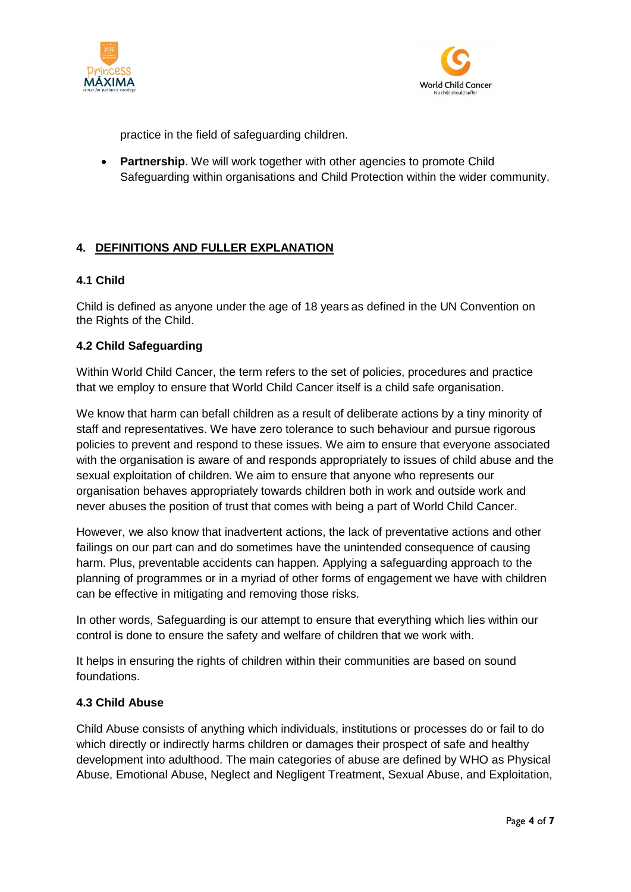



practice in the field of safeguarding children.

**•** Partnership. We will work together with other agencies to promote Child Safeguarding within organisations and Child Protection within the wider community.

## **4. DEFINITIONS AND FULLER EXPLANATION**

#### **4.1 Child**

Child is defined as anyone under the age of 18 years as defined in the UN Convention on the Rights of the Child.

#### **4.2 Child Safeguarding**

Within World Child Cancer, the term refers to the set of policies, procedures and practice that we employ to ensure that World Child Cancer itself is a child safe organisation.

We know that harm can befall children as a result of deliberate actions by a tiny minority of staff and representatives. We have zero tolerance to such behaviour and pursue rigorous policies to prevent and respond to these issues. We aim to ensure that everyone associated with the organisation is aware of and responds appropriately to issues of child abuse and the sexual exploitation of children. We aim to ensure that anyone who represents our organisation behaves appropriately towards children both in work and outside work and never abuses the position of trust that comes with being a part of World Child Cancer.

However, we also know that inadvertent actions, the lack of preventative actions and other failings on our part can and do sometimes have the unintended consequence of causing harm. Plus, preventable accidents can happen. Applying a safeguarding approach to the planning of programmes or in a myriad of other forms of engagement we have with children can be effective in mitigating and removing those risks.

In other words, Safeguarding is our attempt to ensure that everything which lies within our control is done to ensure the safety and welfare of children that we work with.

It helps in ensuring the rights of children within their communities are based on sound foundations.

#### **4.3 Child Abuse**

Child Abuse consists of anything which individuals, institutions or processes do or fail to do which directly or indirectly harms children or damages their prospect of safe and healthy development into adulthood. The main categories of abuse are defined by WHO as Physical Abuse, Emotional Abuse, Neglect and Negligent Treatment, Sexual Abuse, and Exploitation,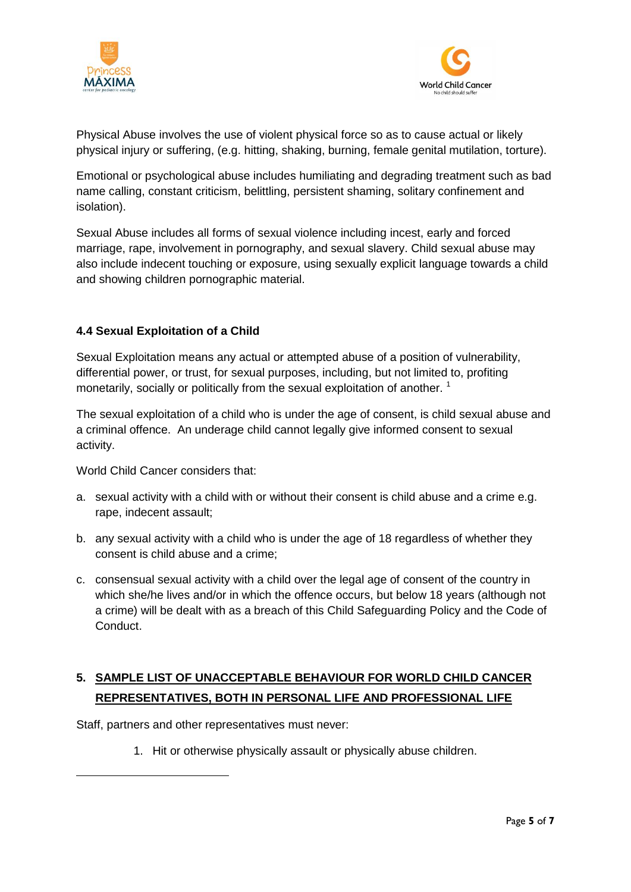



Physical Abuse involves the use of violent physical force so as to cause actual or likely physical injury or suffering, (e.g. hitting, shaking, burning, female genital mutilation, torture).

Emotional or psychological abuse includes humiliating and degrading treatment such as bad name calling, constant criticism, belittling, persistent shaming, solitary confinement and isolation).

Sexual Abuse includes all forms of sexual violence including incest, early and forced marriage, rape, involvement in pornography, and sexual slavery. Child sexual abuse may also include indecent touching or exposure, using sexually explicit language towards a child and showing children pornographic material.

## **4.4 Sexual Exploitation of a Child**

Sexual Exploitation means any actual or attempted abuse of a position of vulnerability, differential power, or trust, for sexual purposes, including, but not limited to, profiting monetarily, socially or politically from the sexual exploitation of another.<sup>1</sup>

The sexual exploitation of a child who is under the age of consent, is child sexual abuse and a criminal offence. An underage child cannot legally give informed consent to sexual activity.

World Child Cancer considers that:

- a. sexual activity with a child with or without their consent is child abuse and a crime e.g. rape, indecent assault;
- b. any sexual activity with a child who is under the age of 18 regardless of whether they consent is child abuse and a crime;
- c. consensual sexual activity with a child over the legal age of consent of the country in which she/he lives and/or in which the offence occurs, but below 18 years (although not a crime) will be dealt with as a breach of this Child Safeguarding Policy and the Code of Conduct.

# **5. SAMPLE LIST OF UNACCEPTABLE BEHAVIOUR FOR WORLD CHILD CANCER REPRESENTATIVES, BOTH IN PERSONAL LIFE AND PROFESSIONAL LIFE**

Staff, partners and other representatives must never:

**.** 

1. Hit or otherwise physically assault or physically abuse children.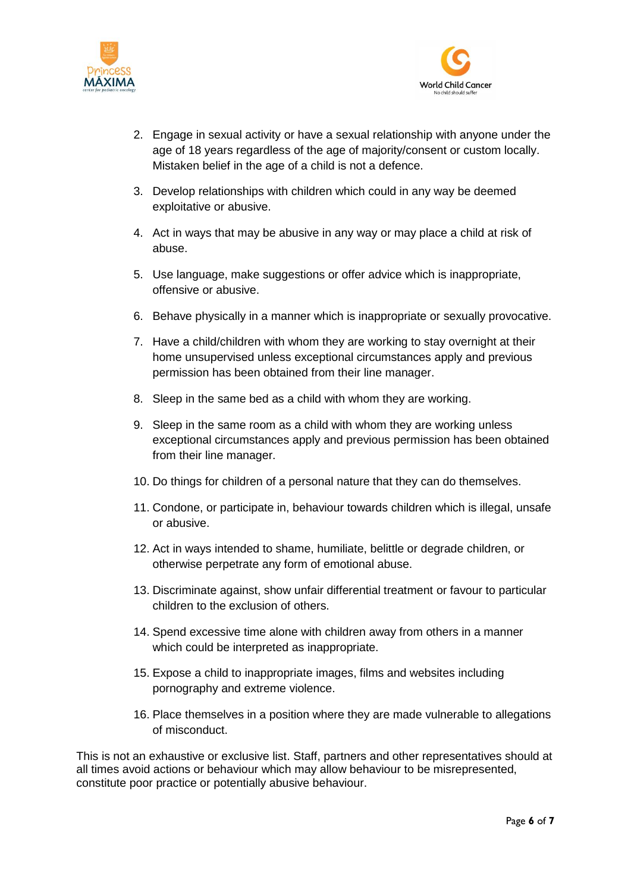



- 2. Engage in sexual activity or have a sexual relationship with anyone under the age of 18 years regardless of the age of majority/consent or custom locally. Mistaken belief in the age of a child is not a defence.
- 3. Develop relationships with children which could in any way be deemed exploitative or abusive.
- 4. Act in ways that may be abusive in any way or may place a child at risk of abuse.
- 5. Use language, make suggestions or offer advice which is inappropriate, offensive or abusive.
- 6. Behave physically in a manner which is inappropriate or sexually provocative.
- 7. Have a child/children with whom they are working to stay overnight at their home unsupervised unless exceptional circumstances apply and previous permission has been obtained from their line manager.
- 8. Sleep in the same bed as a child with whom they are working.
- 9. Sleep in the same room as a child with whom they are working unless exceptional circumstances apply and previous permission has been obtained from their line manager.
- 10. Do things for children of a personal nature that they can do themselves.
- 11. Condone, or participate in, behaviour towards children which is illegal, unsafe or abusive.
- 12. Act in ways intended to shame, humiliate, belittle or degrade children, or otherwise perpetrate any form of emotional abuse.
- 13. Discriminate against, show unfair differential treatment or favour to particular children to the exclusion of others.
- 14. Spend excessive time alone with children away from others in a manner which could be interpreted as inappropriate.
- 15. Expose a child to inappropriate images, films and websites including pornography and extreme violence.
- 16. Place themselves in a position where they are made vulnerable to allegations of misconduct.

This is not an exhaustive or exclusive list. Staff, partners and other representatives should at all times avoid actions or behaviour which may allow behaviour to be misrepresented, constitute poor practice or potentially abusive behaviour.